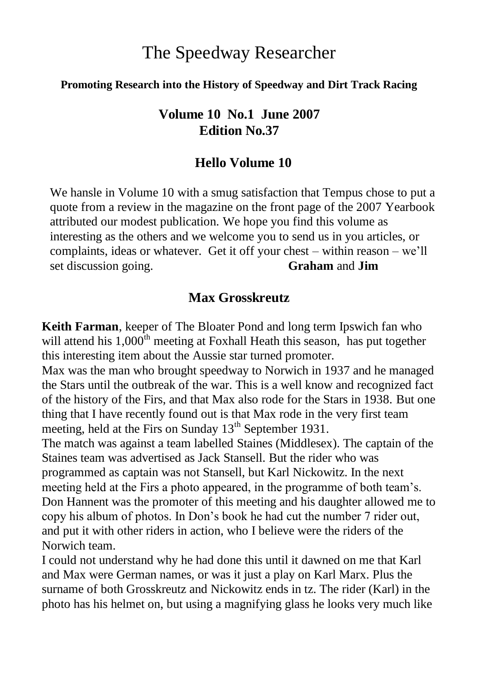# The Speedway Researcher

#### **Promoting Research into the History of Speedway and Dirt Track Racing**

### **Volume 10 No.1 June 2007 Edition No.37**

#### **Hello Volume 10**

We hansle in Volume 10 with a smug satisfaction that Tempus chose to put a quote from a review in the magazine on the front page of the 2007 Yearbook attributed our modest publication. We hope you find this volume as interesting as the others and we welcome you to send us in you articles, or complaints, ideas or whatever. Get it off your chest – within reason – we"ll set discussion going. **Graham** and **Jim**

#### **Max Grosskreutz**

**Keith Farman**, keeper of The Bloater Pond and long term Ipswich fan who will attend his  $1,000^{\text{th}}$  meeting at Foxhall Heath this season, has put together this interesting item about the Aussie star turned promoter.

Max was the man who brought speedway to Norwich in 1937 and he managed the Stars until the outbreak of the war. This is a well know and recognized fact of the history of the Firs, and that Max also rode for the Stars in 1938. But one thing that I have recently found out is that Max rode in the very first team meeting, held at the Firs on Sunday 13<sup>th</sup> September 1931.

The match was against a team labelled Staines (Middlesex). The captain of the Staines team was advertised as Jack Stansell. But the rider who was programmed as captain was not Stansell, but Karl Nickowitz. In the next meeting held at the Firs a photo appeared, in the programme of both team's. Don Hannent was the promoter of this meeting and his daughter allowed me to copy his album of photos. In Don"s book he had cut the number 7 rider out, and put it with other riders in action, who I believe were the riders of the Norwich team.

I could not understand why he had done this until it dawned on me that Karl and Max were German names, or was it just a play on Karl Marx. Plus the surname of both Grosskreutz and Nickowitz ends in tz. The rider (Karl) in the photo has his helmet on, but using a magnifying glass he looks very much like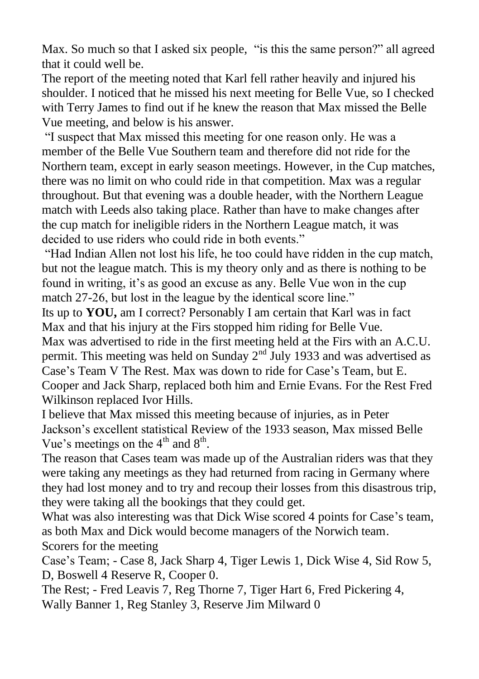Max. So much so that I asked six people. "is this the same person?" all agreed that it could well be.

The report of the meeting noted that Karl fell rather heavily and injured his shoulder. I noticed that he missed his next meeting for Belle Vue, so I checked with Terry James to find out if he knew the reason that Max missed the Belle Vue meeting, and below is his answer.

"I suspect that Max missed this meeting for one reason only. He was a member of the Belle Vue Southern team and therefore did not ride for the Northern team, except in early season meetings. However, in the Cup matches, there was no limit on who could ride in that competition. Max was a regular throughout. But that evening was a double header, with the Northern League match with Leeds also taking place. Rather than have to make changes after the cup match for ineligible riders in the Northern League match, it was decided to use riders who could ride in both events."

"Had Indian Allen not lost his life, he too could have ridden in the cup match, but not the league match. This is my theory only and as there is nothing to be found in writing, it's as good an excuse as any. Belle Vue won in the cup match 27-26, but lost in the league by the identical score line."

Its up to **YOU,** am I correct? Personably I am certain that Karl was in fact Max and that his injury at the Firs stopped him riding for Belle Vue.

Max was advertised to ride in the first meeting held at the Firs with an A.C.U. permit. This meeting was held on Sunday  $2<sup>nd</sup>$  July 1933 and was advertised as Case's Team V The Rest. Max was down to ride for Case's Team, but E. Cooper and Jack Sharp, replaced both him and Ernie Evans. For the Rest Fred Wilkinson replaced Ivor Hills.

I believe that Max missed this meeting because of injuries, as in Peter Jackson"s excellent statistical Review of the 1933 season, Max missed Belle Vue's meetings on the  $4<sup>th</sup>$  and  $8<sup>th</sup>$ .

The reason that Cases team was made up of the Australian riders was that they were taking any meetings as they had returned from racing in Germany where they had lost money and to try and recoup their losses from this disastrous trip, they were taking all the bookings that they could get.

What was also interesting was that Dick Wise scored 4 points for Case's team, as both Max and Dick would become managers of the Norwich team. Scorers for the meeting

Case"s Team; - Case 8, Jack Sharp 4, Tiger Lewis 1, Dick Wise 4, Sid Row 5, D, Boswell 4 Reserve R, Cooper 0.

The Rest; - Fred Leavis 7, Reg Thorne 7, Tiger Hart 6, Fred Pickering 4, Wally Banner 1, Reg Stanley 3, Reserve Jim Milward 0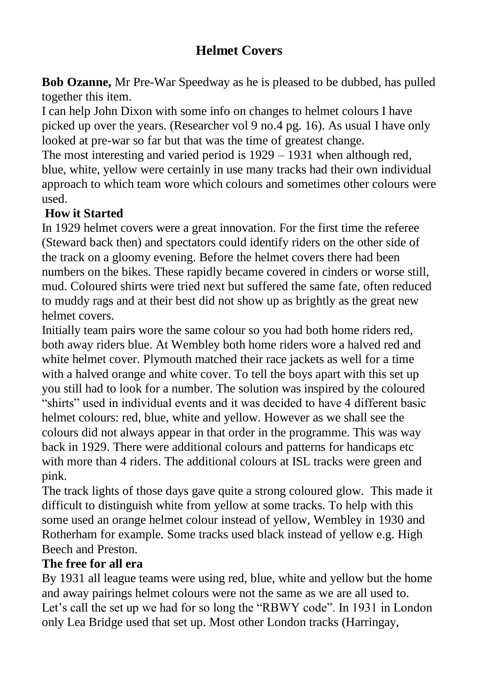# **Helmet Covers**

**Bob Ozanne,** Mr Pre-War Speedway as he is pleased to be dubbed, has pulled together this item.

I can help John Dixon with some info on changes to helmet colours I have picked up over the years. (Researcher vol 9 no.4 pg. 16). As usual I have only looked at pre-war so far but that was the time of greatest change.

The most interesting and varied period is 1929 – 1931 when although red, blue, white, yellow were certainly in use many tracks had their own individual approach to which team wore which colours and sometimes other colours were used.

### **How it Started**

In 1929 helmet covers were a great innovation. For the first time the referee (Steward back then) and spectators could identify riders on the other side of the track on a gloomy evening. Before the helmet covers there had been numbers on the bikes. These rapidly became covered in cinders or worse still, mud. Coloured shirts were tried next but suffered the same fate, often reduced to muddy rags and at their best did not show up as brightly as the great new helmet covers.

Initially team pairs wore the same colour so you had both home riders red, both away riders blue. At Wembley both home riders wore a halved red and white helmet cover. Plymouth matched their race jackets as well for a time with a halved orange and white cover. To tell the boys apart with this set up you still had to look for a number. The solution was inspired by the coloured "shirts" used in individual events and it was decided to have 4 different basic helmet colours: red, blue, white and yellow. However as we shall see the colours did not always appear in that order in the programme. This was way back in 1929. There were additional colours and patterns for handicaps etc with more than 4 riders. The additional colours at ISL tracks were green and pink.

The track lights of those days gave quite a strong coloured glow. This made it difficult to distinguish white from yellow at some tracks. To help with this some used an orange helmet colour instead of yellow, Wembley in 1930 and Rotherham for example. Some tracks used black instead of yellow e.g. High Beech and Preston.

### **The free for all era**

By 1931 all league teams were using red, blue, white and yellow but the home and away pairings helmet colours were not the same as we are all used to. Let's call the set up we had for so long the "RBWY code". In 1931 in London only Lea Bridge used that set up. Most other London tracks (Harringay,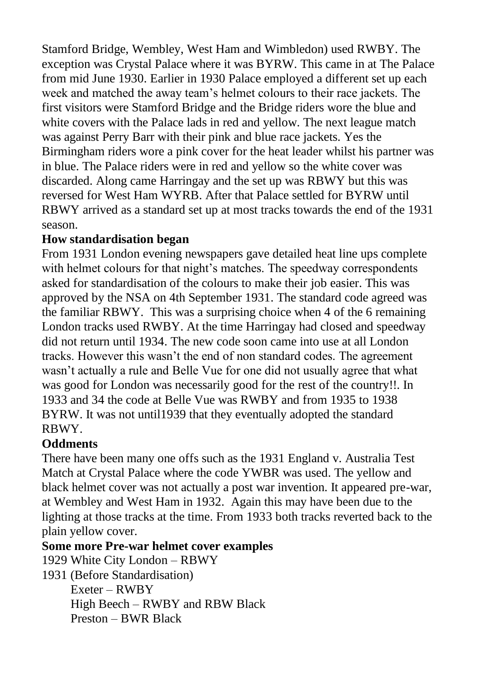Stamford Bridge, Wembley, West Ham and Wimbledon) used RWBY. The exception was Crystal Palace where it was BYRW. This came in at The Palace from mid June 1930. Earlier in 1930 Palace employed a different set up each week and matched the away team"s helmet colours to their race jackets. The first visitors were Stamford Bridge and the Bridge riders wore the blue and white covers with the Palace lads in red and yellow. The next league match was against Perry Barr with their pink and blue race jackets. Yes the Birmingham riders wore a pink cover for the heat leader whilst his partner was in blue. The Palace riders were in red and yellow so the white cover was discarded. Along came Harringay and the set up was RBWY but this was reversed for West Ham WYRB. After that Palace settled for BYRW until RBWY arrived as a standard set up at most tracks towards the end of the 1931 season.

#### **How standardisation began**

From 1931 London evening newspapers gave detailed heat line ups complete with helmet colours for that night's matches. The speedway correspondents asked for standardisation of the colours to make their job easier. This was approved by the NSA on 4th September 1931. The standard code agreed was the familiar RBWY. This was a surprising choice when 4 of the 6 remaining London tracks used RWBY. At the time Harringay had closed and speedway did not return until 1934. The new code soon came into use at all London tracks. However this wasn"t the end of non standard codes. The agreement wasn"t actually a rule and Belle Vue for one did not usually agree that what was good for London was necessarily good for the rest of the country!!. In 1933 and 34 the code at Belle Vue was RWBY and from 1935 to 1938 BYRW. It was not until1939 that they eventually adopted the standard RBWY.

### **Oddments**

There have been many one offs such as the 1931 England v. Australia Test Match at Crystal Palace where the code YWBR was used. The yellow and black helmet cover was not actually a post war invention. It appeared pre-war, at Wembley and West Ham in 1932. Again this may have been due to the lighting at those tracks at the time. From 1933 both tracks reverted back to the plain yellow cover.

### **Some more Pre-war helmet cover examples**

1929 White City London – RBWY 1931 (Before Standardisation) Exeter – RWBY High Beech – RWBY and RBW Black Preston – BWR Black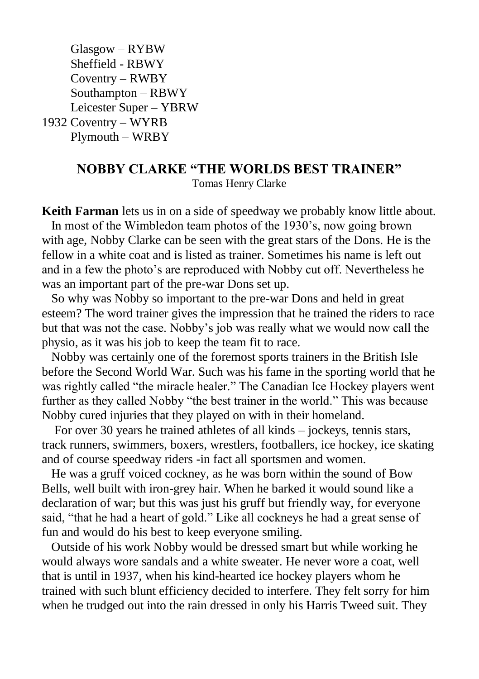Glasgow – RYBW Sheffield - RBWY Coventry – RWBY Southampton – RBWY Leicester Super – YBRW 1932 Coventry – WYRB Plymouth – WRBY

## **NOBBY CLARKE "THE WORLDS BEST TRAINER"**

Tomas Henry Clarke

**Keith Farman** lets us in on a side of speedway we probably know little about. In most of the Wimbledon team photos of the 1930"s, now going brown with age, Nobby Clarke can be seen with the great stars of the Dons. He is the fellow in a white coat and is listed as trainer. Sometimes his name is left out and in a few the photo"s are reproduced with Nobby cut off. Nevertheless he was an important part of the pre-war Dons set up.

 So why was Nobby so important to the pre-war Dons and held in great esteem? The word trainer gives the impression that he trained the riders to race but that was not the case. Nobby"s job was really what we would now call the physio, as it was his job to keep the team fit to race.

 Nobby was certainly one of the foremost sports trainers in the British Isle before the Second World War. Such was his fame in the sporting world that he was rightly called "the miracle healer." The Canadian Ice Hockey players went further as they called Nobby "the best trainer in the world." This was because Nobby cured injuries that they played on with in their homeland.

 For over 30 years he trained athletes of all kinds – jockeys, tennis stars, track runners, swimmers, boxers, wrestlers, footballers, ice hockey, ice skating and of course speedway riders -in fact all sportsmen and women.

 He was a gruff voiced cockney, as he was born within the sound of Bow Bells, well built with iron-grey hair. When he barked it would sound like a declaration of war; but this was just his gruff but friendly way, for everyone said, "that he had a heart of gold." Like all cockneys he had a great sense of fun and would do his best to keep everyone smiling.

 Outside of his work Nobby would be dressed smart but while working he would always wore sandals and a white sweater. He never wore a coat, well that is until in 1937, when his kind-hearted ice hockey players whom he trained with such blunt efficiency decided to interfere. They felt sorry for him when he trudged out into the rain dressed in only his Harris Tweed suit. They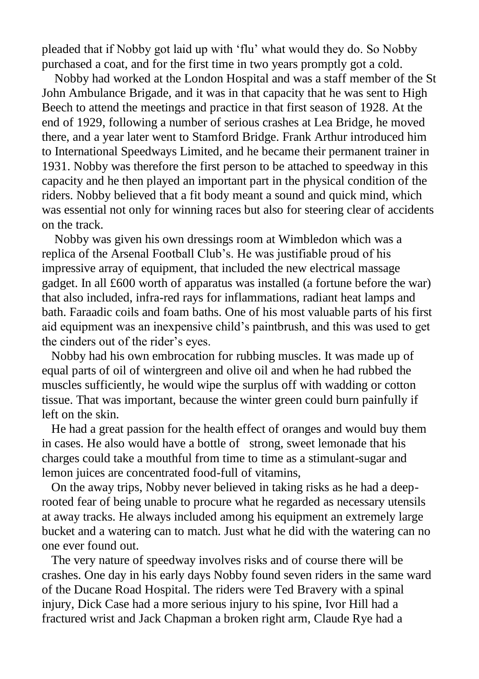pleaded that if Nobby got laid up with "flu" what would they do. So Nobby purchased a coat, and for the first time in two years promptly got a cold.

 Nobby had worked at the London Hospital and was a staff member of the St John Ambulance Brigade, and it was in that capacity that he was sent to High Beech to attend the meetings and practice in that first season of 1928. At the end of 1929, following a number of serious crashes at Lea Bridge, he moved there, and a year later went to Stamford Bridge. Frank Arthur introduced him to International Speedways Limited, and he became their permanent trainer in 1931. Nobby was therefore the first person to be attached to speedway in this capacity and he then played an important part in the physical condition of the riders. Nobby believed that a fit body meant a sound and quick mind, which was essential not only for winning races but also for steering clear of accidents on the track.

 Nobby was given his own dressings room at Wimbledon which was a replica of the Arsenal Football Club"s. He was justifiable proud of his impressive array of equipment, that included the new electrical massage gadget. In all £600 worth of apparatus was installed (a fortune before the war) that also included, infra-red rays for inflammations, radiant heat lamps and bath. Faraadic coils and foam baths. One of his most valuable parts of his first aid equipment was an inexpensive child"s paintbrush, and this was used to get the cinders out of the rider"s eyes.

 Nobby had his own embrocation for rubbing muscles. It was made up of equal parts of oil of wintergreen and olive oil and when he had rubbed the muscles sufficiently, he would wipe the surplus off with wadding or cotton tissue. That was important, because the winter green could burn painfully if left on the skin.

 He had a great passion for the health effect of oranges and would buy them in cases. He also would have a bottle of strong, sweet lemonade that his charges could take a mouthful from time to time as a stimulant-sugar and lemon juices are concentrated food-full of vitamins,

 On the away trips, Nobby never believed in taking risks as he had a deeprooted fear of being unable to procure what he regarded as necessary utensils at away tracks. He always included among his equipment an extremely large bucket and a watering can to match. Just what he did with the watering can no one ever found out.

 The very nature of speedway involves risks and of course there will be crashes. One day in his early days Nobby found seven riders in the same ward of the Ducane Road Hospital. The riders were Ted Bravery with a spinal injury, Dick Case had a more serious injury to his spine, Ivor Hill had a fractured wrist and Jack Chapman a broken right arm, Claude Rye had a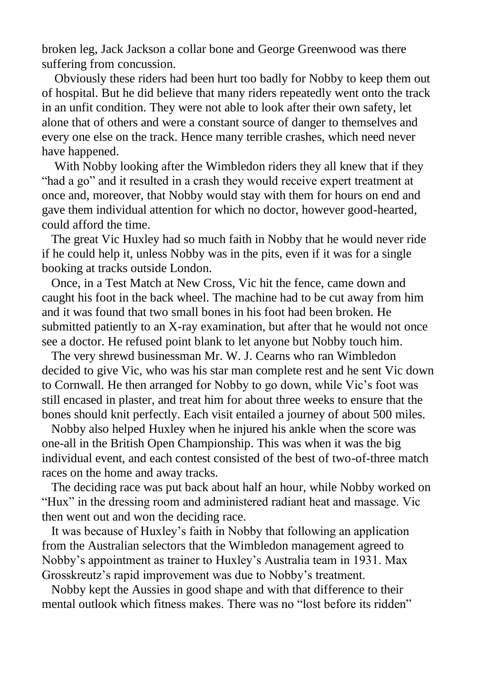broken leg, Jack Jackson a collar bone and George Greenwood was there suffering from concussion.

 Obviously these riders had been hurt too badly for Nobby to keep them out of hospital. But he did believe that many riders repeatedly went onto the track in an unfit condition. They were not able to look after their own safety, let alone that of others and were a constant source of danger to themselves and every one else on the track. Hence many terrible crashes, which need never have happened.

 With Nobby looking after the Wimbledon riders they all knew that if they "had a go" and it resulted in a crash they would receive expert treatment at once and, moreover, that Nobby would stay with them for hours on end and gave them individual attention for which no doctor, however good-hearted, could afford the time.

 The great Vic Huxley had so much faith in Nobby that he would never ride if he could help it, unless Nobby was in the pits, even if it was for a single booking at tracks outside London.

 Once, in a Test Match at New Cross, Vic hit the fence, came down and caught his foot in the back wheel. The machine had to be cut away from him and it was found that two small bones in his foot had been broken. He submitted patiently to an X-ray examination, but after that he would not once see a doctor. He refused point blank to let anyone but Nobby touch him.

 The very shrewd businessman Mr. W. J. Cearns who ran Wimbledon decided to give Vic, who was his star man complete rest and he sent Vic down to Cornwall. He then arranged for Nobby to go down, while Vic"s foot was still encased in plaster, and treat him for about three weeks to ensure that the bones should knit perfectly. Each visit entailed a journey of about 500 miles.

 Nobby also helped Huxley when he injured his ankle when the score was one-all in the British Open Championship. This was when it was the big individual event, and each contest consisted of the best of two-of-three match races on the home and away tracks.

 The deciding race was put back about half an hour, while Nobby worked on "Hux" in the dressing room and administered radiant heat and massage. Vic then went out and won the deciding race.

 It was because of Huxley"s faith in Nobby that following an application from the Australian selectors that the Wimbledon management agreed to Nobby"s appointment as trainer to Huxley"s Australia team in 1931. Max Grosskreutz"s rapid improvement was due to Nobby"s treatment.

 Nobby kept the Aussies in good shape and with that difference to their mental outlook which fitness makes. There was no "lost before its ridden"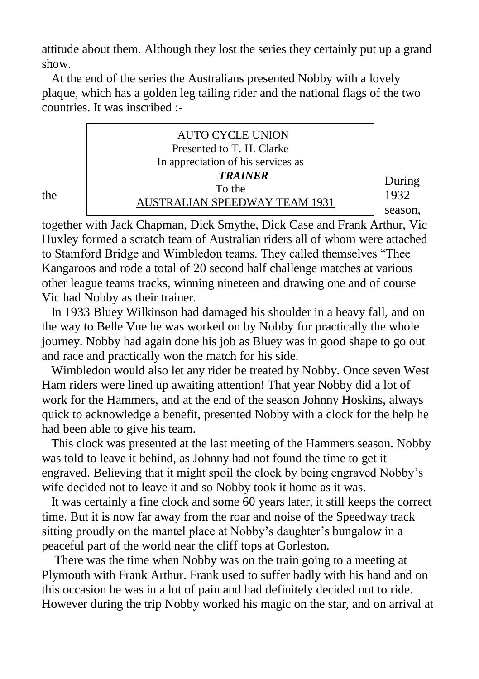attitude about them. Although they lost the series they certainly put up a grand show.

 At the end of the series the Australians presented Nobby with a lovely plaque, which has a golden leg tailing rider and the national flags of the two countries. It was inscribed :-

|     | <b>AUTO CYCLE UNION</b><br>Presented to T. H. Clarke<br>In appreciation of his services as |                           |
|-----|--------------------------------------------------------------------------------------------|---------------------------|
| the | <b>TRAINER</b><br>To the<br><b>AUSTRALIAN SPEEDWAY TEAM 1931</b>                           | During<br>1932<br>season. |

together with Jack Chapman, Dick Smythe, Dick Case and Frank Arthur, Vic Huxley formed a scratch team of Australian riders all of whom were attached to Stamford Bridge and Wimbledon teams. They called themselves "Thee Kangaroos and rode a total of 20 second half challenge matches at various other league teams tracks, winning nineteen and drawing one and of course Vic had Nobby as their trainer.

 In 1933 Bluey Wilkinson had damaged his shoulder in a heavy fall, and on the way to Belle Vue he was worked on by Nobby for practically the whole journey. Nobby had again done his job as Bluey was in good shape to go out and race and practically won the match for his side.

 Wimbledon would also let any rider be treated by Nobby. Once seven West Ham riders were lined up awaiting attention! That year Nobby did a lot of work for the Hammers, and at the end of the season Johnny Hoskins, always quick to acknowledge a benefit, presented Nobby with a clock for the help he had been able to give his team.

 This clock was presented at the last meeting of the Hammers season. Nobby was told to leave it behind, as Johnny had not found the time to get it engraved. Believing that it might spoil the clock by being engraved Nobby"s wife decided not to leave it and so Nobby took it home as it was.

 It was certainly a fine clock and some 60 years later, it still keeps the correct time. But it is now far away from the roar and noise of the Speedway track sitting proudly on the mantel place at Nobby's daughter's bungalow in a peaceful part of the world near the cliff tops at Gorleston.

 There was the time when Nobby was on the train going to a meeting at Plymouth with Frank Arthur. Frank used to suffer badly with his hand and on this occasion he was in a lot of pain and had definitely decided not to ride. However during the trip Nobby worked his magic on the star, and on arrival at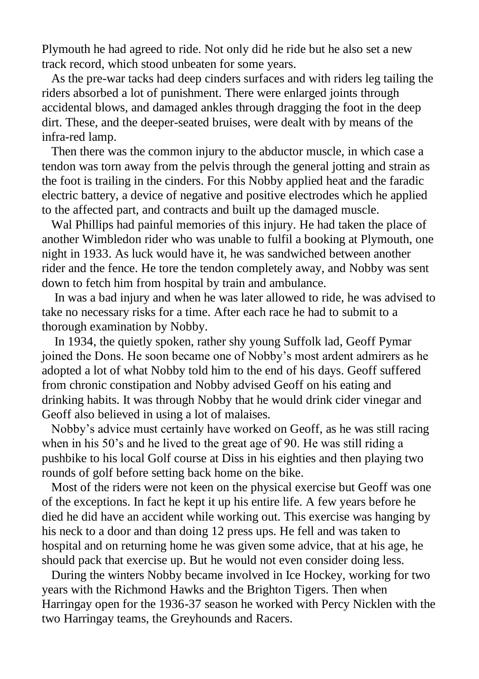Plymouth he had agreed to ride. Not only did he ride but he also set a new track record, which stood unbeaten for some years.

 As the pre-war tacks had deep cinders surfaces and with riders leg tailing the riders absorbed a lot of punishment. There were enlarged joints through accidental blows, and damaged ankles through dragging the foot in the deep dirt. These, and the deeper-seated bruises, were dealt with by means of the infra-red lamp.

 Then there was the common injury to the abductor muscle, in which case a tendon was torn away from the pelvis through the general jotting and strain as the foot is trailing in the cinders. For this Nobby applied heat and the faradic electric battery, a device of negative and positive electrodes which he applied to the affected part, and contracts and built up the damaged muscle.

 Wal Phillips had painful memories of this injury. He had taken the place of another Wimbledon rider who was unable to fulfil a booking at Plymouth, one night in 1933. As luck would have it, he was sandwiched between another rider and the fence. He tore the tendon completely away, and Nobby was sent down to fetch him from hospital by train and ambulance.

 In was a bad injury and when he was later allowed to ride, he was advised to take no necessary risks for a time. After each race he had to submit to a thorough examination by Nobby.

 In 1934, the quietly spoken, rather shy young Suffolk lad, Geoff Pymar joined the Dons. He soon became one of Nobby"s most ardent admirers as he adopted a lot of what Nobby told him to the end of his days. Geoff suffered from chronic constipation and Nobby advised Geoff on his eating and drinking habits. It was through Nobby that he would drink cider vinegar and Geoff also believed in using a lot of malaises.

 Nobby"s advice must certainly have worked on Geoff, as he was still racing when in his 50's and he lived to the great age of 90. He was still riding a pushbike to his local Golf course at Diss in his eighties and then playing two rounds of golf before setting back home on the bike.

 Most of the riders were not keen on the physical exercise but Geoff was one of the exceptions. In fact he kept it up his entire life. A few years before he died he did have an accident while working out. This exercise was hanging by his neck to a door and than doing 12 press ups. He fell and was taken to hospital and on returning home he was given some advice, that at his age, he should pack that exercise up. But he would not even consider doing less.

 During the winters Nobby became involved in Ice Hockey, working for two years with the Richmond Hawks and the Brighton Tigers. Then when Harringay open for the 1936-37 season he worked with Percy Nicklen with the two Harringay teams, the Greyhounds and Racers.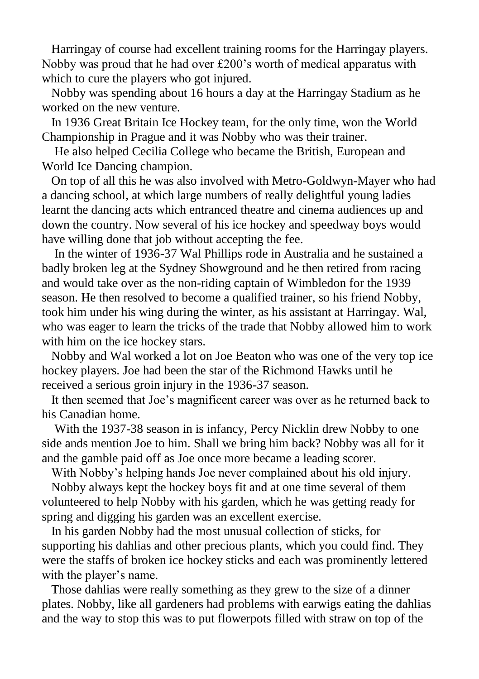Harringay of course had excellent training rooms for the Harringay players. Nobby was proud that he had over £200"s worth of medical apparatus with which to cure the players who got injured.

 Nobby was spending about 16 hours a day at the Harringay Stadium as he worked on the new venture.

 In 1936 Great Britain Ice Hockey team, for the only time, won the World Championship in Prague and it was Nobby who was their trainer.

 He also helped Cecilia College who became the British, European and World Ice Dancing champion.

 On top of all this he was also involved with Metro-Goldwyn-Mayer who had a dancing school, at which large numbers of really delightful young ladies learnt the dancing acts which entranced theatre and cinema audiences up and down the country. Now several of his ice hockey and speedway boys would have willing done that job without accepting the fee.

 In the winter of 1936-37 Wal Phillips rode in Australia and he sustained a badly broken leg at the Sydney Showground and he then retired from racing and would take over as the non-riding captain of Wimbledon for the 1939 season. He then resolved to become a qualified trainer, so his friend Nobby, took him under his wing during the winter, as his assistant at Harringay. Wal, who was eager to learn the tricks of the trade that Nobby allowed him to work with him on the ice hockey stars.

 Nobby and Wal worked a lot on Joe Beaton who was one of the very top ice hockey players. Joe had been the star of the Richmond Hawks until he received a serious groin injury in the 1936-37 season.

 It then seemed that Joe"s magnificent career was over as he returned back to his Canadian home.

 With the 1937-38 season in is infancy, Percy Nicklin drew Nobby to one side ands mention Joe to him. Shall we bring him back? Nobby was all for it and the gamble paid off as Joe once more became a leading scorer.

With Nobby"s helping hands Joe never complained about his old injury.

 Nobby always kept the hockey boys fit and at one time several of them volunteered to help Nobby with his garden, which he was getting ready for spring and digging his garden was an excellent exercise.

 In his garden Nobby had the most unusual collection of sticks, for supporting his dahlias and other precious plants, which you could find. They were the staffs of broken ice hockey sticks and each was prominently lettered with the player's name.

 Those dahlias were really something as they grew to the size of a dinner plates. Nobby, like all gardeners had problems with earwigs eating the dahlias and the way to stop this was to put flowerpots filled with straw on top of the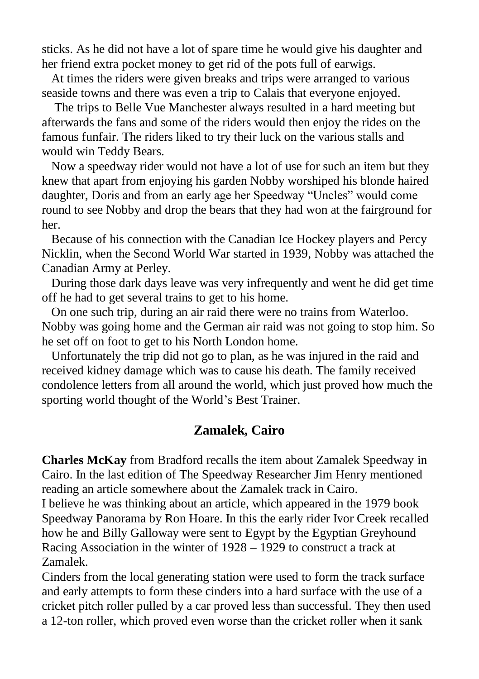sticks. As he did not have a lot of spare time he would give his daughter and her friend extra pocket money to get rid of the pots full of earwigs.

 At times the riders were given breaks and trips were arranged to various seaside towns and there was even a trip to Calais that everyone enjoyed.

 The trips to Belle Vue Manchester always resulted in a hard meeting but afterwards the fans and some of the riders would then enjoy the rides on the famous funfair. The riders liked to try their luck on the various stalls and would win Teddy Bears.

 Now a speedway rider would not have a lot of use for such an item but they knew that apart from enjoying his garden Nobby worshiped his blonde haired daughter, Doris and from an early age her Speedway "Uncles" would come round to see Nobby and drop the bears that they had won at the fairground for her.

 Because of his connection with the Canadian Ice Hockey players and Percy Nicklin, when the Second World War started in 1939, Nobby was attached the Canadian Army at Perley.

 During those dark days leave was very infrequently and went he did get time off he had to get several trains to get to his home.

 On one such trip, during an air raid there were no trains from Waterloo. Nobby was going home and the German air raid was not going to stop him. So he set off on foot to get to his North London home.

 Unfortunately the trip did not go to plan, as he was injured in the raid and received kidney damage which was to cause his death. The family received condolence letters from all around the world, which just proved how much the sporting world thought of the World"s Best Trainer.

### **Zamalek, Cairo**

**Charles McKay** from Bradford recalls the item about Zamalek Speedway in Cairo. In the last edition of The Speedway Researcher Jim Henry mentioned reading an article somewhere about the Zamalek track in Cairo.

I believe he was thinking about an article, which appeared in the 1979 book Speedway Panorama by Ron Hoare. In this the early rider Ivor Creek recalled how he and Billy Galloway were sent to Egypt by the Egyptian Greyhound Racing Association in the winter of 1928 – 1929 to construct a track at Zamalek.

Cinders from the local generating station were used to form the track surface and early attempts to form these cinders into a hard surface with the use of a cricket pitch roller pulled by a car proved less than successful. They then used a 12-ton roller, which proved even worse than the cricket roller when it sank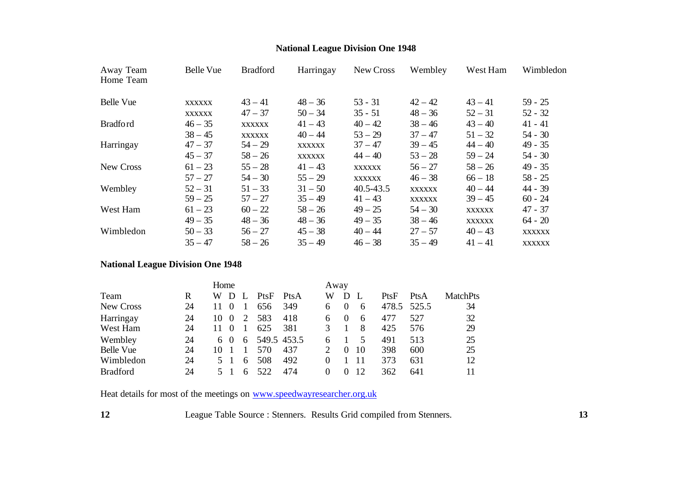# **National League Division One 1948**

| Away Team<br>Home Team | Belle Vue     | <b>Bradford</b> | Harringay     | New Cross     | Wembley       | West Ham      | Wimbledon     |
|------------------------|---------------|-----------------|---------------|---------------|---------------|---------------|---------------|
| <b>Belle Vue</b>       | <b>XXXXXX</b> | $43 - 41$       | $48 - 36$     | $53 - 31$     | $42 - 42$     | $43 - 41$     | $59 - 25$     |
|                        | XXXXXX        | $47 - 37$       | $50 - 34$     | $35 - 51$     | $48 - 36$     | $52 - 31$     | $52 - 32$     |
| <b>Bradford</b>        | $46 - 35$     | <b>XXXXXX</b>   | $41 - 43$     | $40 - 42$     | $38 - 46$     | $43 - 40$     | $41 - 41$     |
|                        | $38 - 45$     | XXXXXX          | $40 - 44$     | $53 - 29$     | $37 - 47$     | $51 - 32$     | $54 - 30$     |
| Harringay              | $47 - 37$     | $54 - 29$       | <b>XXXXXX</b> | $37 - 47$     | $39 - 45$     | $44 - 40$     | $49 - 35$     |
|                        | $45 - 37$     | $58 - 26$       | <b>XXXXXX</b> | $44 - 40$     | $53 - 28$     | $59 - 24$     | $54 - 30$     |
| New Cross              | $61 - 23$     | $55 - 28$       | $41 - 43$     | <b>XXXXXX</b> | $56 - 27$     | $58 - 26$     | $49 - 35$     |
|                        | $57 - 27$     | $54 - 30$       | $55 - 29$     | <b>XXXXXX</b> | $46 - 38$     | $66 - 18$     | $58 - 25$     |
| Wembley                | $52 - 31$     | $51 - 33$       | $31 - 50$     | $40.5 - 43.5$ | <b>XXXXXX</b> | $40 - 44$     | 44 - 39       |
|                        | $59 - 25$     | $57 - 27$       | $35 - 49$     | $41 - 43$     | <b>XXXXXX</b> | $39 - 45$     | $60 - 24$     |
| West Ham               | $61 - 23$     | $60 - 22$       | $58 - 26$     | $49 - 25$     | $54 - 30$     | <b>XXXXXX</b> | $47 - 37$     |
|                        | $49 - 35$     | $48 - 36$       | $48 - 36$     | $49 - 35$     | $38 - 46$     | <b>XXXXXX</b> | $64 - 20$     |
| Wimbledon              | $50 - 33$     | $56 - 27$       | $45 - 38$     | $40 - 44$     | $27 - 57$     | $40 - 43$     | <b>XXXXXX</b> |
|                        | $35 - 47$     | $58 - 26$       | $35 - 49$     | $46 - 38$     | $35 - 49$     | $41 - 41$     | XXXXXX        |

# **National League Division One 1948**

|                  | Home |    |      |              |      | Away        |          |          |    |       |       |                 |
|------------------|------|----|------|--------------|------|-------------|----------|----------|----|-------|-------|-----------------|
| Team             | R    | W  |      |              | PtsF | PtsA        | W        | D        |    | PtsF  | PtsA  | <b>MatchPts</b> |
| New Cross        | 24   |    |      |              | 656  | 349         | 6        |          | 6  | 478.5 | 525.5 | 34              |
| Harringay        | 24   | 10 | 0    | 2            | 583  | 418         | 6        | $\theta$ | 6  | 477   | 527   | 32              |
| West Ham         | 24   |    |      |              | 625  | 381         | 3        |          | 8  | 425   | 576   | 29              |
| Wembley          | 24   | 6  | - () | 6            |      | 549.5 453.5 | 6        |          | 5  | 491   | 513   | 25              |
| <b>Belle Vue</b> | 24   | 10 |      |              | 570  | 437         |          | $\theta$ | 10 | 398   | 600   | 25              |
| Wimbledon        | 24   |    | 5 1  | 6            | 508  | 492         | $\Omega$ |          | 11 | 373   | 631   | 12              |
| <b>Bradford</b>  | 24   |    |      | <sub>6</sub> | 522  | 474         | $\Omega$ |          | 12 | 362   | 641   | 11              |

Heat details for most of the meetings on www.speedwayresearcher.org.uk

**12** League Table Source : Stenners. Results Grid compiled from Stenners. **13**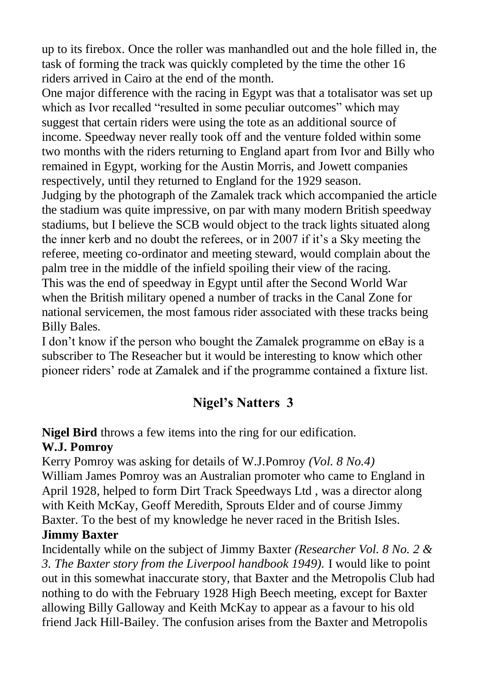up to its firebox. Once the roller was manhandled out and the hole filled in, the task of forming the track was quickly completed by the time the other 16 riders arrived in Cairo at the end of the month.

One major difference with the racing in Egypt was that a totalisator was set up which as Ivor recalled "resulted in some peculiar outcomes" which may suggest that certain riders were using the tote as an additional source of income. Speedway never really took off and the venture folded within some two months with the riders returning to England apart from Ivor and Billy who remained in Egypt, working for the Austin Morris, and Jowett companies respectively, until they returned to England for the 1929 season.

Judging by the photograph of the Zamalek track which accompanied the article the stadium was quite impressive, on par with many modern British speedway stadiums, but I believe the SCB would object to the track lights situated along the inner kerb and no doubt the referees, or in 2007 if it"s a Sky meeting the referee, meeting co-ordinator and meeting steward, would complain about the palm tree in the middle of the infield spoiling their view of the racing. This was the end of speedway in Egypt until after the Second World War when the British military opened a number of tracks in the Canal Zone for national servicemen, the most famous rider associated with these tracks being Billy Bales.

I don"t know if the person who bought the Zamalek programme on eBay is a subscriber to The Reseacher but it would be interesting to know which other pioneer riders" rode at Zamalek and if the programme contained a fixture list.

# **Nigel's Natters 3**

**Nigel Bird** throws a few items into the ring for our edification.

## **W.J. Pomroy**

Kerry Pomroy was asking for details of W.J.Pomroy *(Vol. 8 No.4)* William James Pomroy was an Australian promoter who came to England in April 1928, helped to form Dirt Track Speedways Ltd , was a director along with Keith McKay, Geoff Meredith, Sprouts Elder and of course Jimmy Baxter. To the best of my knowledge he never raced in the British Isles.

### **Jimmy Baxter**

Incidentally while on the subject of Jimmy Baxter *(Researcher Vol. 8 No. 2 & 3. The Baxter story from the Liverpool handbook 1949).* I would like to point out in this somewhat inaccurate story, that Baxter and the Metropolis Club had nothing to do with the February 1928 High Beech meeting, except for Baxter allowing Billy Galloway and Keith McKay to appear as a favour to his old friend Jack Hill-Bailey. The confusion arises from the Baxter and Metropolis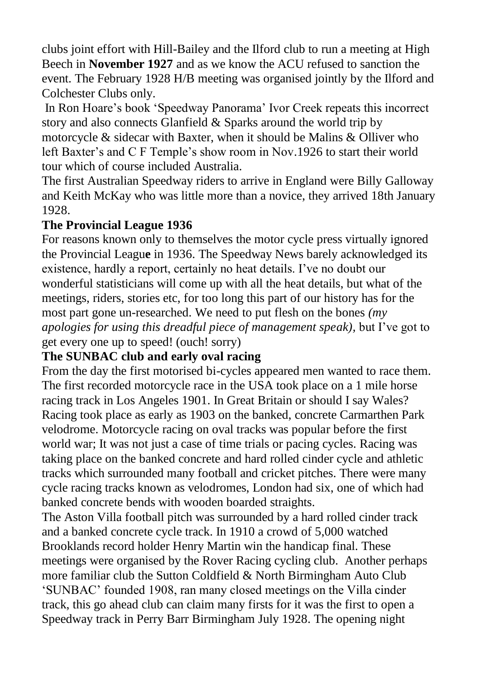clubs joint effort with Hill-Bailey and the Ilford club to run a meeting at High Beech in **November 1927** and as we know the ACU refused to sanction the event. The February 1928 H/B meeting was organised jointly by the Ilford and Colchester Clubs only.

In Ron Hoare"s book "Speedway Panorama" Ivor Creek repeats this incorrect story and also connects Glanfield & Sparks around the world trip by motorcycle  $\&$  sidecar with Baxter, when it should be Malins  $\&$  Olliver who left Baxter's and C F Temple's show room in Nov.1926 to start their world tour which of course included Australia.

The first Australian Speedway riders to arrive in England were Billy Galloway and Keith McKay who was little more than a novice, they arrived 18th January 1928.

#### **The Provincial League 1936**

For reasons known only to themselves the motor cycle press virtually ignored the Provincial Leagu**e** in 1936. The Speedway News barely acknowledged its existence, hardly a report, certainly no heat details. I"ve no doubt our wonderful statisticians will come up with all the heat details, but what of the meetings, riders, stories etc, for too long this part of our history has for the most part gone un-researched. We need to put flesh on the bones *(my apologies for using this dreadful piece of management speak),* but I"ve got to get every one up to speed! (ouch! sorry)

### **The SUNBAC club and early oval racing**

From the day the first motorised bi-cycles appeared men wanted to race them. The first recorded motorcycle race in the USA took place on a 1 mile horse racing track in Los Angeles 1901. In Great Britain or should I say Wales? Racing took place as early as 1903 on the banked, concrete Carmarthen Park velodrome. Motorcycle racing on oval tracks was popular before the first world war; It was not just a case of time trials or pacing cycles. Racing was taking place on the banked concrete and hard rolled cinder cycle and athletic tracks which surrounded many football and cricket pitches. There were many cycle racing tracks known as velodromes, London had six, one of which had banked concrete bends with wooden boarded straights.

The Aston Villa football pitch was surrounded by a hard rolled cinder track and a banked concrete cycle track. In 1910 a crowd of 5,000 watched Brooklands record holder Henry Martin win the handicap final. These meetings were organised by the Rover Racing cycling club. Another perhaps more familiar club the Sutton Coldfield & North Birmingham Auto Club "SUNBAC" founded 1908, ran many closed meetings on the Villa cinder track, this go ahead club can claim many firsts for it was the first to open a Speedway track in Perry Barr Birmingham July 1928. The opening night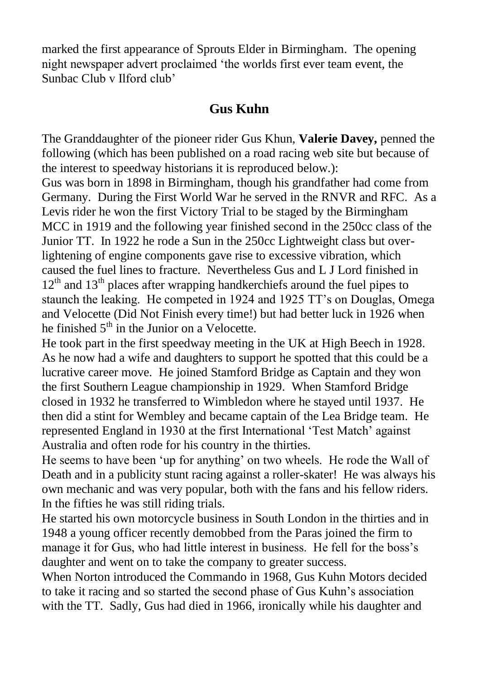marked the first appearance of Sprouts Elder in Birmingham. The opening night newspaper advert proclaimed "the worlds first ever team event, the Sunbac Club v Ilford club'

## **Gus Kuhn**

The Granddaughter of the pioneer rider Gus Khun, **Valerie Davey,** penned the following (which has been published on a road racing web site but because of the interest to speedway historians it is reproduced below.):

Gus was born in 1898 in Birmingham, though his grandfather had come from Germany. During the First World War he served in the RNVR and RFC. As a Levis rider he won the first Victory Trial to be staged by the Birmingham MCC in 1919 and the following year finished second in the 250cc class of the Junior TT. In 1922 he rode a Sun in the 250cc Lightweight class but overlightening of engine components gave rise to excessive vibration, which caused the fuel lines to fracture. Nevertheless Gus and L J Lord finished in  $12<sup>th</sup>$  and  $13<sup>th</sup>$  places after wrapping handkerchiefs around the fuel pipes to staunch the leaking. He competed in 1924 and 1925 TT"s on Douglas, Omega and Velocette (Did Not Finish every time!) but had better luck in 1926 when he finished  $5<sup>th</sup>$  in the Junior on a Velocette.

He took part in the first speedway meeting in the UK at High Beech in 1928. As he now had a wife and daughters to support he spotted that this could be a lucrative career move. He joined Stamford Bridge as Captain and they won the first Southern League championship in 1929. When Stamford Bridge closed in 1932 he transferred to Wimbledon where he stayed until 1937. He then did a stint for Wembley and became captain of the Lea Bridge team. He represented England in 1930 at the first International "Test Match" against Australia and often rode for his country in the thirties.

He seems to have been "up for anything" on two wheels. He rode the Wall of Death and in a publicity stunt racing against a roller-skater! He was always his own mechanic and was very popular, both with the fans and his fellow riders. In the fifties he was still riding trials.

He started his own motorcycle business in South London in the thirties and in 1948 a young officer recently demobbed from the Paras joined the firm to manage it for Gus, who had little interest in business. He fell for the boss"s daughter and went on to take the company to greater success.

When Norton introduced the Commando in 1968, Gus Kuhn Motors decided to take it racing and so started the second phase of Gus Kuhn"s association with the TT. Sadly, Gus had died in 1966, ironically while his daughter and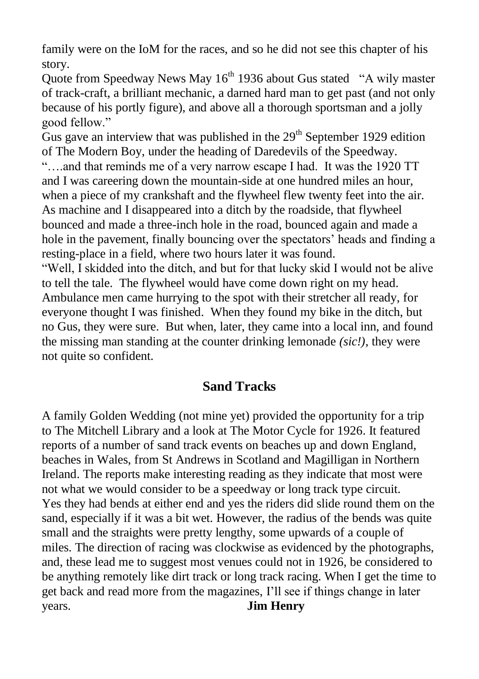family were on the IoM for the races, and so he did not see this chapter of his story.

Quote from Speedway News May 16<sup>th</sup> 1936 about Gus stated "A wily master of track-craft, a brilliant mechanic, a darned hard man to get past (and not only because of his portly figure), and above all a thorough sportsman and a jolly good fellow."

Gus gave an interview that was published in the  $29<sup>th</sup>$  September 1929 edition of The Modern Boy, under the heading of Daredevils of the Speedway. "….and that reminds me of a very narrow escape I had. It was the 1920 TT and I was careering down the mountain-side at one hundred miles an hour, when a piece of my crankshaft and the flywheel flew twenty feet into the air. As machine and I disappeared into a ditch by the roadside, that flywheel bounced and made a three-inch hole in the road, bounced again and made a hole in the pavement, finally bouncing over the spectators' heads and finding a resting-place in a field, where two hours later it was found.

"Well, I skidded into the ditch, and but for that lucky skid I would not be alive to tell the tale. The flywheel would have come down right on my head. Ambulance men came hurrying to the spot with their stretcher all ready, for everyone thought I was finished. When they found my bike in the ditch, but no Gus, they were sure. But when, later, they came into a local inn, and found the missing man standing at the counter drinking lemonade *(sic!),* they were not quite so confident.

## **Sand Tracks**

A family Golden Wedding (not mine yet) provided the opportunity for a trip to The Mitchell Library and a look at The Motor Cycle for 1926. It featured reports of a number of sand track events on beaches up and down England, beaches in Wales, from St Andrews in Scotland and Magilligan in Northern Ireland. The reports make interesting reading as they indicate that most were not what we would consider to be a speedway or long track type circuit. Yes they had bends at either end and yes the riders did slide round them on the sand, especially if it was a bit wet. However, the radius of the bends was quite small and the straights were pretty lengthy, some upwards of a couple of miles. The direction of racing was clockwise as evidenced by the photographs, and, these lead me to suggest most venues could not in 1926, be considered to be anything remotely like dirt track or long track racing. When I get the time to get back and read more from the magazines, I"ll see if things change in later years. **Jim Henry**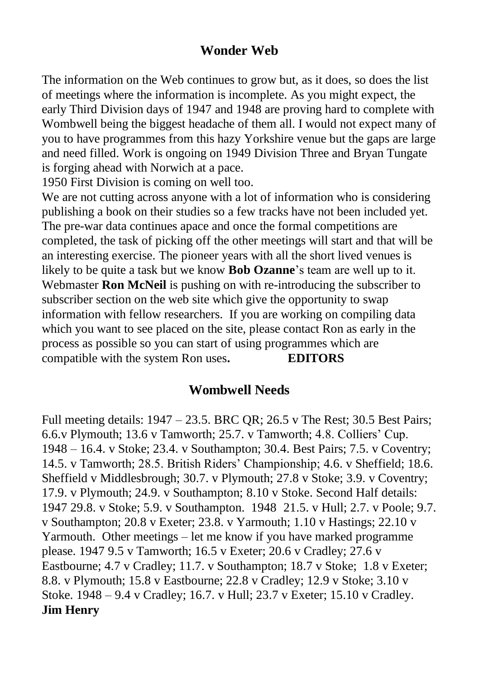### **Wonder Web**

The information on the Web continues to grow but, as it does, so does the list of meetings where the information is incomplete. As you might expect, the early Third Division days of 1947 and 1948 are proving hard to complete with Wombwell being the biggest headache of them all. I would not expect many of you to have programmes from this hazy Yorkshire venue but the gaps are large and need filled. Work is ongoing on 1949 Division Three and Bryan Tungate is forging ahead with Norwich at a pace.

1950 First Division is coming on well too.

We are not cutting across anyone with a lot of information who is considering publishing a book on their studies so a few tracks have not been included yet. The pre-war data continues apace and once the formal competitions are completed, the task of picking off the other meetings will start and that will be an interesting exercise. The pioneer years with all the short lived venues is likely to be quite a task but we know **Bob Ozanne**"s team are well up to it. Webmaster **Ron McNeil** is pushing on with re-introducing the subscriber to subscriber section on the web site which give the opportunity to swap information with fellow researchers. If you are working on compiling data which you want to see placed on the site, please contact Ron as early in the process as possible so you can start of using programmes which are compatible with the system Ron uses**. EDITORS**

#### **Wombwell Needs**

Full meeting details: 1947 – 23.5. BRC QR; 26.5 v The Rest; 30.5 Best Pairs; 6.6.v Plymouth; 13.6 v Tamworth; 25.7. v Tamworth; 4.8. Colliers" Cup. 1948 – 16.4. v Stoke; 23.4. v Southampton; 30.4. Best Pairs; 7.5. v Coventry; 14.5. v Tamworth; 28.5. British Riders" Championship; 4.6. v Sheffield; 18.6. Sheffield v Middlesbrough; 30.7. v Plymouth; 27.8 v Stoke; 3.9. v Coventry; 17.9. v Plymouth; 24.9. v Southampton; 8.10 v Stoke. Second Half details: 1947 29.8. v Stoke; 5.9. v Southampton. 1948 21.5. v Hull; 2.7. v Poole; 9.7. v Southampton; 20.8 v Exeter; 23.8. v Yarmouth; 1.10 v Hastings; 22.10 v Yarmouth. Other meetings – let me know if you have marked programme please. 1947 9.5 v Tamworth; 16.5 v Exeter; 20.6 v Cradley; 27.6 v Eastbourne; 4.7 v Cradley; 11.7. v Southampton; 18.7 v Stoke; 1.8 v Exeter; 8.8. v Plymouth; 15.8 v Eastbourne; 22.8 v Cradley; 12.9 v Stoke; 3.10 v Stoke. 1948 – 9.4 v Cradley; 16.7. v Hull; 23.7 v Exeter; 15.10 v Cradley. **Jim Henry**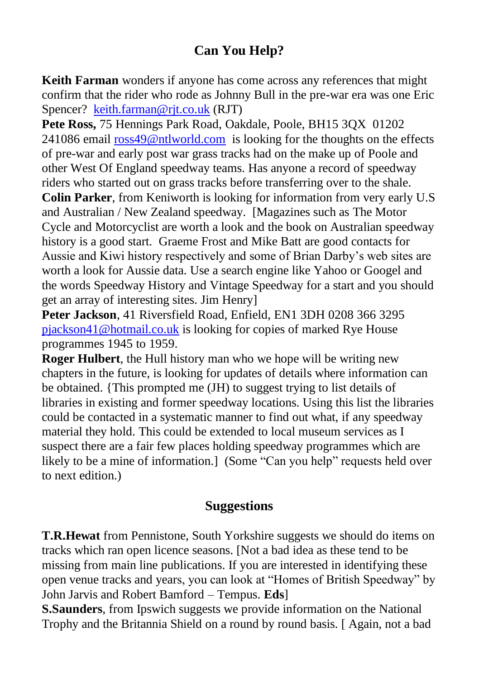# **Can You Help?**

**Keith Farman** wonders if anyone has come across any references that might confirm that the rider who rode as Johnny Bull in the pre-war era was one Eric Spencer? [keith.farman@rjt.co.uk](mailto:keith.farman@rjt.co.uk) (RJT)

**Pete Ross,** 75 Hennings Park Road, Oakdale, Poole, BH15 3QX 01202 241086 email [ross49@ntlworld.com](mailto:roos49@ntlworld.com) is looking for the thoughts on the effects of pre-war and early post war grass tracks had on the make up of Poole and other West Of England speedway teams. Has anyone a record of speedway riders who started out on grass tracks before transferring over to the shale. **Colin Parker**, from Keniworth is looking for information from very early U.S and Australian / New Zealand speedway. [Magazines such as The Motor Cycle and Motorcyclist are worth a look and the book on Australian speedway history is a good start. Graeme Frost and Mike Batt are good contacts for Aussie and Kiwi history respectively and some of Brian Darby"s web sites are worth a look for Aussie data. Use a search engine like Yahoo or Googel and the words Speedway History and Vintage Speedway for a start and you should get an array of interesting sites. Jim Henry]

**Peter Jackson**, 41 Riversfield Road, Enfield, EN1 3DH 0208 366 3295 [pjackson41@hotmail.co.uk](mailto:pjackson41@hotmail.co.uk) is looking for copies of marked Rye House programmes 1945 to 1959.

**Roger Hulbert**, the Hull history man who we hope will be writing new chapters in the future, is looking for updates of details where information can be obtained. {This prompted me (JH) to suggest trying to list details of libraries in existing and former speedway locations. Using this list the libraries could be contacted in a systematic manner to find out what, if any speedway material they hold. This could be extended to local museum services as I suspect there are a fair few places holding speedway programmes which are likely to be a mine of information.] (Some "Can you help" requests held over to next edition.)

### **Suggestions**

**T.R.Hewat** from Pennistone, South Yorkshire suggests we should do items on tracks which ran open licence seasons. [Not a bad idea as these tend to be missing from main line publications. If you are interested in identifying these open venue tracks and years, you can look at "Homes of British Speedway" by John Jarvis and Robert Bamford – Tempus. **Eds**]

**S.Saunders**, from Ipswich suggests we provide information on the National Trophy and the Britannia Shield on a round by round basis. [ Again, not a bad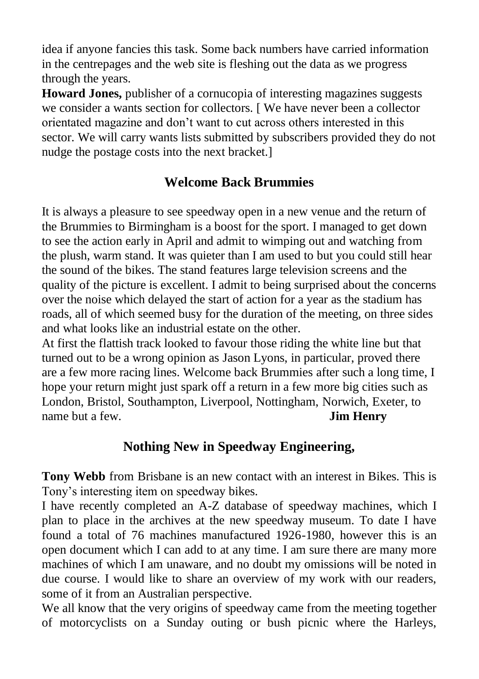idea if anyone fancies this task. Some back numbers have carried information in the centrepages and the web site is fleshing out the data as we progress through the years.

**Howard Jones,** publisher of a cornucopia of interesting magazines suggests we consider a wants section for collectors. [ We have never been a collector orientated magazine and don"t want to cut across others interested in this sector. We will carry wants lists submitted by subscribers provided they do not nudge the postage costs into the next bracket.]

# **Welcome Back Brummies**

It is always a pleasure to see speedway open in a new venue and the return of the Brummies to Birmingham is a boost for the sport. I managed to get down to see the action early in April and admit to wimping out and watching from the plush, warm stand. It was quieter than I am used to but you could still hear the sound of the bikes. The stand features large television screens and the quality of the picture is excellent. I admit to being surprised about the concerns over the noise which delayed the start of action for a year as the stadium has roads, all of which seemed busy for the duration of the meeting, on three sides and what looks like an industrial estate on the other.

At first the flattish track looked to favour those riding the white line but that turned out to be a wrong opinion as Jason Lyons, in particular, proved there are a few more racing lines. Welcome back Brummies after such a long time, I hope your return might just spark off a return in a few more big cities such as London, Bristol, Southampton, Liverpool, Nottingham, Norwich, Exeter, to name but a few. **Jim Henry**

# **Nothing New in Speedway Engineering,**

**Tony Webb** from Brisbane is an new contact with an interest in Bikes. This is Tony"s interesting item on speedway bikes.

I have recently completed an A-Z database of speedway machines, which I plan to place in the archives at the new speedway museum. To date I have found a total of 76 machines manufactured 1926-1980, however this is an open document which I can add to at any time. I am sure there are many more machines of which I am unaware, and no doubt my omissions will be noted in due course. I would like to share an overview of my work with our readers, some of it from an Australian perspective.

We all know that the very origins of speedway came from the meeting together of motorcyclists on a Sunday outing or bush picnic where the Harleys,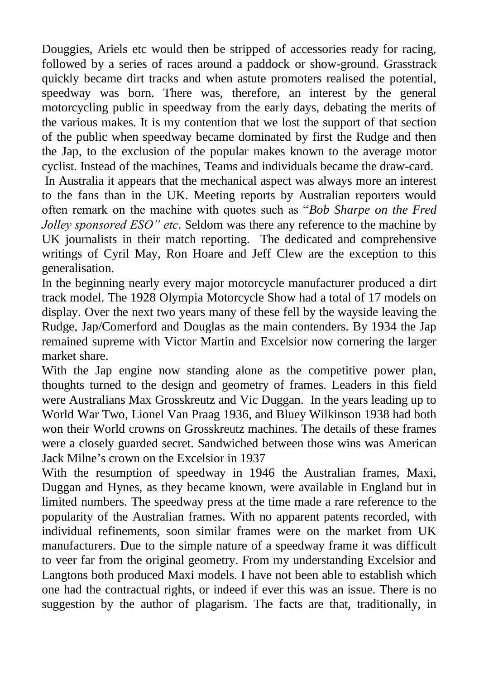Douggies, Ariels etc would then be stripped of accessories ready for racing, followed by a series of races around a paddock or show-ground. Grasstrack quickly became dirt tracks and when astute promoters realised the potential, speedway was born. There was, therefore, an interest by the general motorcycling public in speedway from the early days, debating the merits of the various makes. It is my contention that we lost the support of that section of the public when speedway became dominated by first the Rudge and then the Jap, to the exclusion of the popular makes known to the average motor cyclist. Instead of the machines, Teams and individuals became the draw-card.

In Australia it appears that the mechanical aspect was always more an interest to the fans than in the UK. Meeting reports by Australian reporters would often remark on the machine with quotes such as "*Bob Sharpe on the Fred Jolley sponsored ESO" etc*. Seldom was there any reference to the machine by UK journalists in their match reporting. The dedicated and comprehensive writings of Cyril May, Ron Hoare and Jeff Clew are the exception to this generalisation.

In the beginning nearly every major motorcycle manufacturer produced a dirt track model. The 1928 Olympia Motorcycle Show had a total of 17 models on display. Over the next two years many of these fell by the wayside leaving the Rudge, Jap/Comerford and Douglas as the main contenders. By 1934 the Jap remained supreme with Victor Martin and Excelsior now cornering the larger market share.

With the Jap engine now standing alone as the competitive power plan, thoughts turned to the design and geometry of frames. Leaders in this field were Australians Max Grosskreutz and Vic Duggan. In the years leading up to World War Two, Lionel Van Praag 1936, and Bluey Wilkinson 1938 had both won their World crowns on Grosskreutz machines. The details of these frames were a closely guarded secret. Sandwiched between those wins was American Jack Milne"s crown on the Excelsior in 1937

With the resumption of speedway in 1946 the Australian frames, Maxi, Duggan and Hynes, as they became known, were available in England but in limited numbers. The speedway press at the time made a rare reference to the popularity of the Australian frames. With no apparent patents recorded, with individual refinements, soon similar frames were on the market from UK manufacturers. Due to the simple nature of a speedway frame it was difficult to veer far from the original geometry. From my understanding Excelsior and Langtons both produced Maxi models. I have not been able to establish which one had the contractual rights, or indeed if ever this was an issue. There is no suggestion by the author of plagarism. The facts are that, traditionally, in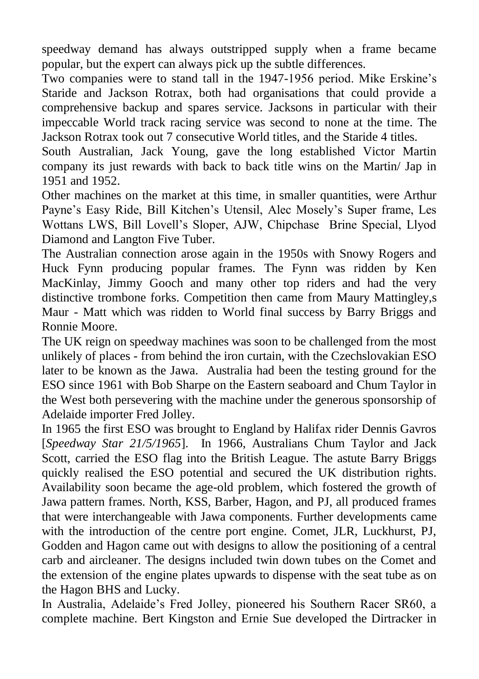speedway demand has always outstripped supply when a frame became popular, but the expert can always pick up the subtle differences.

Two companies were to stand tall in the 1947-1956 period. Mike Erskine"s Staride and Jackson Rotrax, both had organisations that could provide a comprehensive backup and spares service. Jacksons in particular with their impeccable World track racing service was second to none at the time. The Jackson Rotrax took out 7 consecutive World titles, and the Staride 4 titles.

South Australian, Jack Young, gave the long established Victor Martin company its just rewards with back to back title wins on the Martin/ Jap in 1951 and 1952.

Other machines on the market at this time, in smaller quantities, were Arthur Payne"s Easy Ride, Bill Kitchen"s Utensil, Alec Mosely"s Super frame, Les Wottans LWS, Bill Lovell"s Sloper, AJW, Chipchase Brine Special, Llyod Diamond and Langton Five Tuber.

The Australian connection arose again in the 1950s with Snowy Rogers and Huck Fynn producing popular frames. The Fynn was ridden by Ken MacKinlay, Jimmy Gooch and many other top riders and had the very distinctive trombone forks. Competition then came from Maury Mattingley,s Maur - Matt which was ridden to World final success by Barry Briggs and Ronnie Moore.

The UK reign on speedway machines was soon to be challenged from the most unlikely of places - from behind the iron curtain, with the Czechslovakian ESO later to be known as the Jawa. Australia had been the testing ground for the ESO since 1961 with Bob Sharpe on the Eastern seaboard and Chum Taylor in the West both persevering with the machine under the generous sponsorship of Adelaide importer Fred Jolley.

In 1965 the first ESO was brought to England by Halifax rider Dennis Gavros [*Speedway Star 21/5/1965*]. In 1966, Australians Chum Taylor and Jack Scott, carried the ESO flag into the British League. The astute Barry Briggs quickly realised the ESO potential and secured the UK distribution rights. Availability soon became the age-old problem, which fostered the growth of Jawa pattern frames. North, KSS, Barber, Hagon, and PJ, all produced frames that were interchangeable with Jawa components. Further developments came with the introduction of the centre port engine. Comet, JLR, Luckhurst, PJ, Godden and Hagon came out with designs to allow the positioning of a central carb and aircleaner. The designs included twin down tubes on the Comet and the extension of the engine plates upwards to dispense with the seat tube as on the Hagon BHS and Lucky.

In Australia, Adelaide"s Fred Jolley, pioneered his Southern Racer SR60, a complete machine. Bert Kingston and Ernie Sue developed the Dirtracker in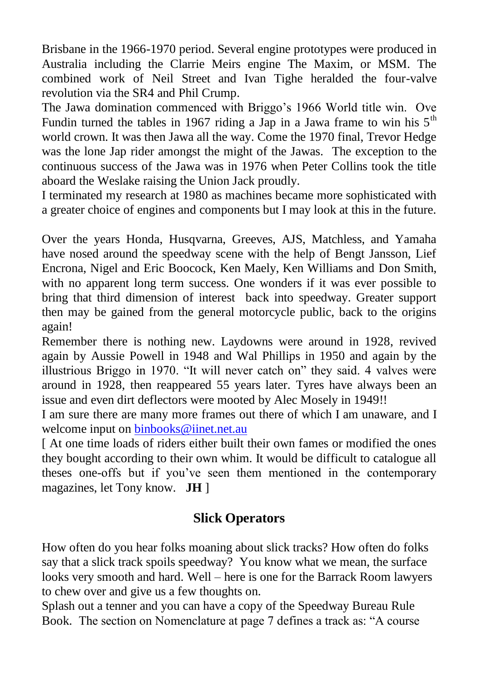Brisbane in the 1966-1970 period. Several engine prototypes were produced in Australia including the Clarrie Meirs engine The Maxim, or MSM. The combined work of Neil Street and Ivan Tighe heralded the four-valve revolution via the SR4 and Phil Crump.

The Jawa domination commenced with Briggo's 1966 World title win. Ove Fundin turned the tables in 1967 riding a Jap in a Jawa frame to win his  $5<sup>th</sup>$ world crown. It was then Jawa all the way. Come the 1970 final, Trevor Hedge was the lone Jap rider amongst the might of the Jawas. The exception to the continuous success of the Jawa was in 1976 when Peter Collins took the title aboard the Weslake raising the Union Jack proudly.

I terminated my research at 1980 as machines became more sophisticated with a greater choice of engines and components but I may look at this in the future.

Over the years Honda, Husqvarna, Greeves, AJS, Matchless, and Yamaha have nosed around the speedway scene with the help of Bengt Jansson, Lief Encrona, Nigel and Eric Boocock, Ken Maely, Ken Williams and Don Smith, with no apparent long term success. One wonders if it was ever possible to bring that third dimension of interest back into speedway. Greater support then may be gained from the general motorcycle public, back to the origins again!

Remember there is nothing new. Laydowns were around in 1928, revived again by Aussie Powell in 1948 and Wal Phillips in 1950 and again by the illustrious Briggo in 1970. "It will never catch on" they said. 4 valves were around in 1928, then reappeared 55 years later. Tyres have always been an issue and even dirt deflectors were mooted by Alec Mosely in 1949!!

I am sure there are many more frames out there of which I am unaware, and I welcome input on [binbooks@iinet.net.au](mailto:binbooks@iinet.net.au)

[ At one time loads of riders either built their own fames or modified the ones they bought according to their own whim. It would be difficult to catalogue all theses one-offs but if you"ve seen them mentioned in the contemporary magazines, let Tony know. **JH** ]

## **Slick Operators**

How often do you hear folks moaning about slick tracks? How often do folks say that a slick track spoils speedway? You know what we mean, the surface looks very smooth and hard. Well – here is one for the Barrack Room lawyers to chew over and give us a few thoughts on.

Splash out a tenner and you can have a copy of the Speedway Bureau Rule Book. The section on Nomenclature at page 7 defines a track as: "A course